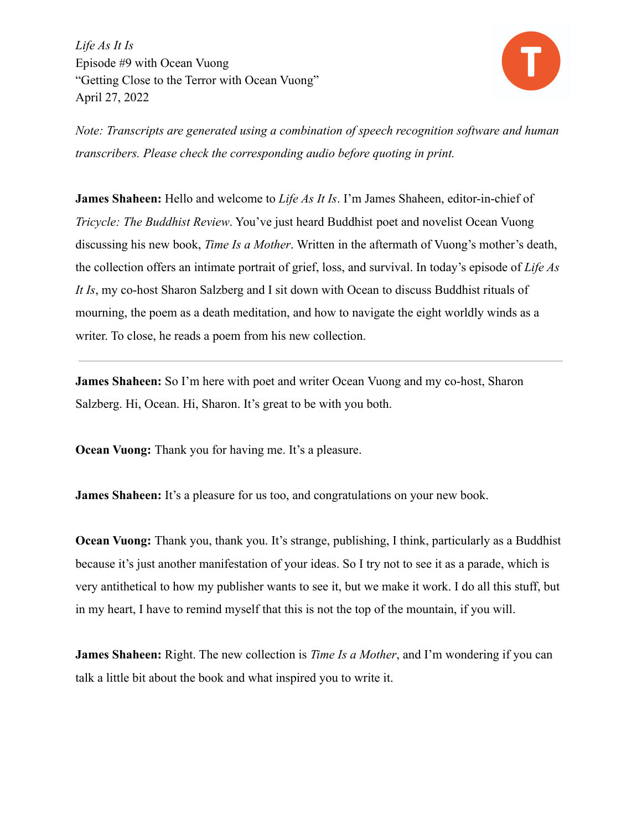

*Note: Transcripts are generated using a combination of speech recognition software and human transcribers. Please check the corresponding audio before quoting in print.*

**James Shaheen:** Hello and welcome to *Life As It Is*. I'm James Shaheen, editor-in-chief of *Tricycle: The Buddhist Review*. You've just heard Buddhist poet and novelist Ocean Vuong discussing his new book, *Time Is a Mother*. Written in the aftermath of Vuong's mother's death, the collection offers an intimate portrait of grief, loss, and survival. In today's episode of *Life As It Is*, my co-host Sharon Salzberg and I sit down with Ocean to discuss Buddhist rituals of mourning, the poem as a death meditation, and how to navigate the eight worldly winds as a writer. To close, he reads a poem from his new collection.

**James Shaheen:** So I'm here with poet and writer Ocean Vuong and my co-host, Sharon Salzberg. Hi, Ocean. Hi, Sharon. It's great to be with you both.

**Ocean Vuong:** Thank you for having me. It's a pleasure.

**James Shaheen:** It's a pleasure for us too, and congratulations on your new book.

**Ocean Vuong:** Thank you, thank you. It's strange, publishing, I think, particularly as a Buddhist because it's just another manifestation of your ideas. So I try not to see it as a parade, which is very antithetical to how my publisher wants to see it, but we make it work. I do all this stuff, but in my heart, I have to remind myself that this is not the top of the mountain, if you will.

**James Shaheen:** Right. The new collection is *Time Is a Mother*, and I'm wondering if you can talk a little bit about the book and what inspired you to write it.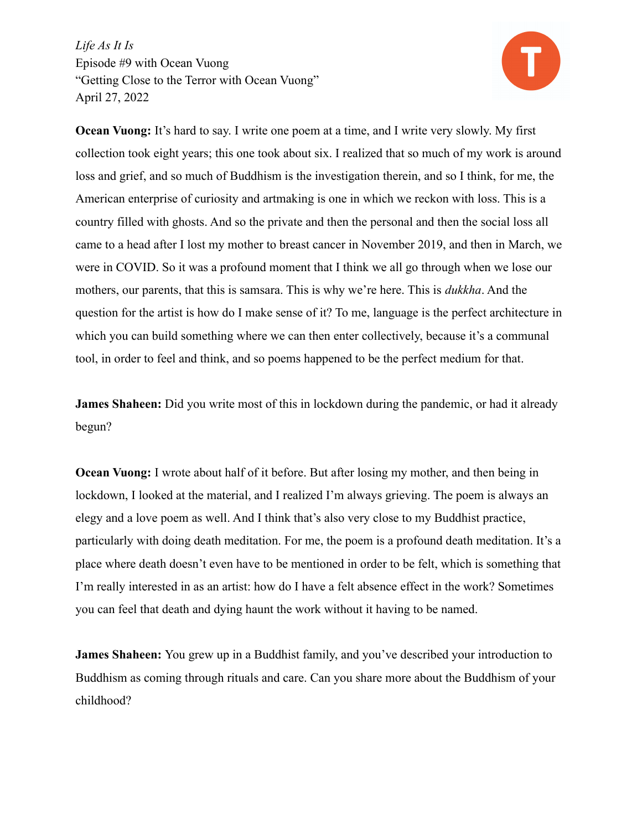

**Ocean Vuong:** It's hard to say. I write one poem at a time, and I write very slowly. My first collection took eight years; this one took about six. I realized that so much of my work is around loss and grief, and so much of Buddhism is the investigation therein, and so I think, for me, the American enterprise of curiosity and artmaking is one in which we reckon with loss. This is a country filled with ghosts. And so the private and then the personal and then the social loss all came to a head after I lost my mother to breast cancer in November 2019, and then in March, we were in COVID. So it was a profound moment that I think we all go through when we lose our mothers, our parents, that this is samsara. This is why we're here. This is *dukkha*. And the question for the artist is how do I make sense of it? To me, language is the perfect architecture in which you can build something where we can then enter collectively, because it's a communal tool, in order to feel and think, and so poems happened to be the perfect medium for that.

**James Shaheen:** Did you write most of this in lockdown during the pandemic, or had it already begun?

**Ocean Vuong:** I wrote about half of it before. But after losing my mother, and then being in lockdown, I looked at the material, and I realized I'm always grieving. The poem is always an elegy and a love poem as well. And I think that's also very close to my Buddhist practice, particularly with doing death meditation. For me, the poem is a profound death meditation. It's a place where death doesn't even have to be mentioned in order to be felt, which is something that I'm really interested in as an artist: how do I have a felt absence effect in the work? Sometimes you can feel that death and dying haunt the work without it having to be named.

**James Shaheen:** You grew up in a Buddhist family, and you've described your introduction to Buddhism as coming through rituals and care. Can you share more about the Buddhism of your childhood?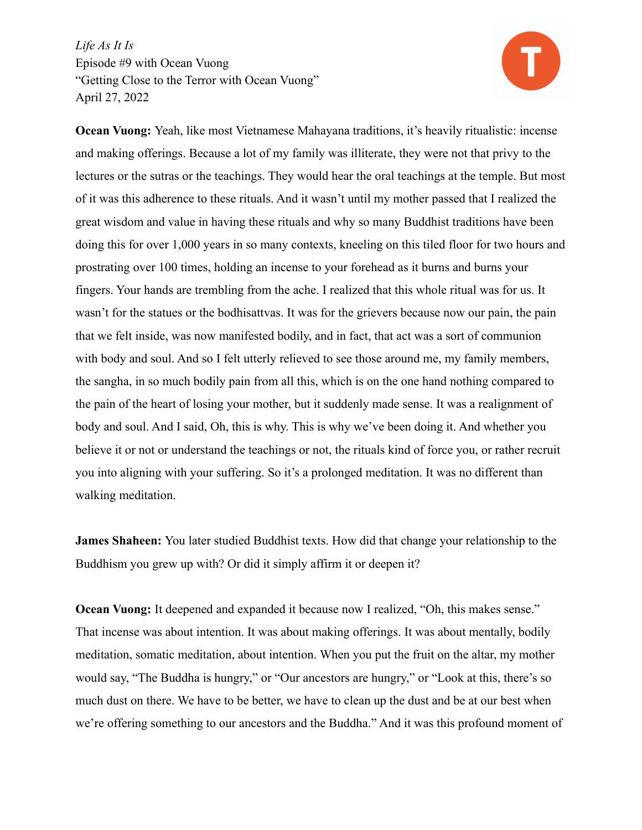

**Ocean Vuong:** Yeah, like most Vietnamese Mahayana traditions, it's heavily ritualistic: incense and making offerings. Because a lot of my family was illiterate, they were not that privy to the lectures or the sutras or the teachings. They would hear the oral teachings at the temple. But most of it was this adherence to these rituals. And it wasn't until my mother passed that I realized the great wisdom and value in having these rituals and why so many Buddhist traditions have been doing this for over 1,000 years in so many contexts, kneeling on this tiled floor for two hours and prostrating over 100 times, holding an incense to your forehead as it burns and burns your fingers. Your hands are trembling from the ache. I realized that this whole ritual was for us. It wasn't for the statues or the bodhisattvas. It was for the grievers because now our pain, the pain that we felt inside, was now manifested bodily, and in fact, that act was a sort of communion with body and soul. And so I felt utterly relieved to see those around me, my family members, the sangha, in so much bodily pain from all this, which is on the one hand nothing compared to the pain of the heart of losing your mother, but it suddenly made sense. It was a realignment of body and soul. And I said, Oh, this is why. This is why we've been doing it. And whether you believe it or not or understand the teachings or not, the rituals kind of force you, or rather recruit you into aligning with your suffering. So it's a prolonged meditation. It was no different than walking meditation.

**James Shaheen:** You later studied Buddhist texts. How did that change your relationship to the Buddhism you grew up with? Or did it simply affirm it or deepen it?

**Ocean Vuong:** It deepened and expanded it because now I realized, "Oh, this makes sense." That incense was about intention. It was about making offerings. It was about mentally, bodily meditation, somatic meditation, about intention. When you put the fruit on the altar, my mother would say, "The Buddha is hungry," or "Our ancestors are hungry," or "Look at this, there's so much dust on there. We have to be better, we have to clean up the dust and be at our best when we're offering something to our ancestors and the Buddha." And it was this profound moment of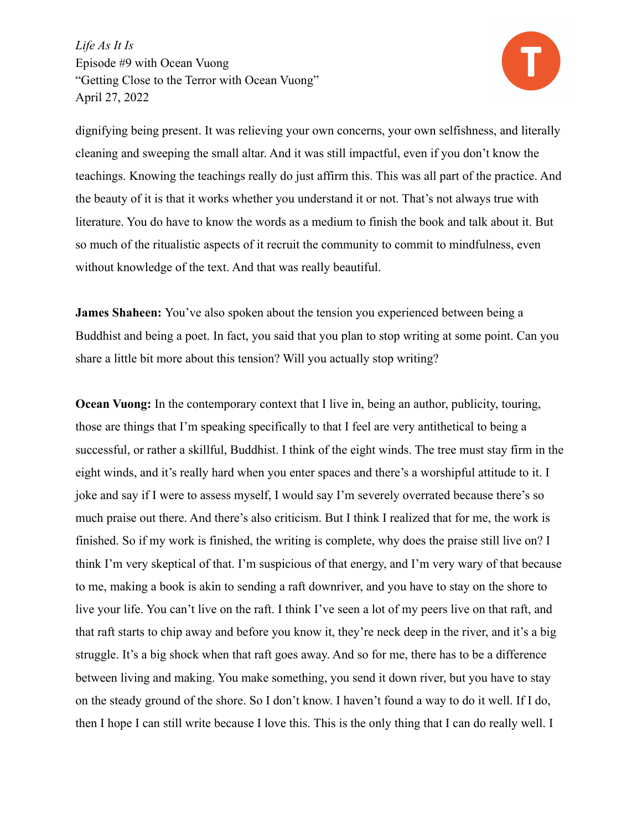

dignifying being present. It was relieving your own concerns, your own selfishness, and literally cleaning and sweeping the small altar. And it was still impactful, even if you don't know the teachings. Knowing the teachings really do just affirm this. This was all part of the practice. And the beauty of it is that it works whether you understand it or not. That's not always true with literature. You do have to know the words as a medium to finish the book and talk about it. But so much of the ritualistic aspects of it recruit the community to commit to mindfulness, even without knowledge of the text. And that was really beautiful.

**James Shaheen:** You've also spoken about the tension you experienced between being a Buddhist and being a poet. In fact, you said that you plan to stop writing at some point. Can you share a little bit more about this tension? Will you actually stop writing?

**Ocean Vuong:** In the contemporary context that I live in, being an author, publicity, touring, those are things that I'm speaking specifically to that I feel are very antithetical to being a successful, or rather a skillful, Buddhist. I think of the eight winds. The tree must stay firm in the eight winds, and it's really hard when you enter spaces and there's a worshipful attitude to it. I joke and say if I were to assess myself, I would say I'm severely overrated because there's so much praise out there. And there's also criticism. But I think I realized that for me, the work is finished. So if my work is finished, the writing is complete, why does the praise still live on? I think I'm very skeptical of that. I'm suspicious of that energy, and I'm very wary of that because to me, making a book is akin to sending a raft downriver, and you have to stay on the shore to live your life. You can't live on the raft. I think I've seen a lot of my peers live on that raft, and that raft starts to chip away and before you know it, they're neck deep in the river, and it's a big struggle. It's a big shock when that raft goes away. And so for me, there has to be a difference between living and making. You make something, you send it down river, but you have to stay on the steady ground of the shore. So I don't know. I haven't found a way to do it well. If I do, then I hope I can still write because I love this. This is the only thing that I can do really well. I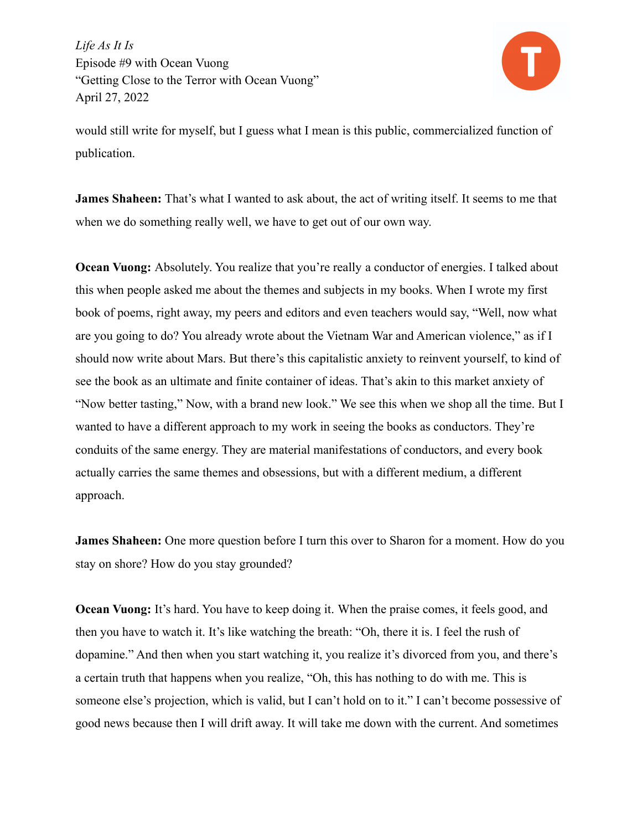

would still write for myself, but I guess what I mean is this public, commercialized function of publication.

**James Shaheen:** That's what I wanted to ask about, the act of writing itself. It seems to me that when we do something really well, we have to get out of our own way.

**Ocean Vuong:** Absolutely. You realize that you're really a conductor of energies. I talked about this when people asked me about the themes and subjects in my books. When I wrote my first book of poems, right away, my peers and editors and even teachers would say, "Well, now what are you going to do? You already wrote about the Vietnam War and American violence," as if I should now write about Mars. But there's this capitalistic anxiety to reinvent yourself, to kind of see the book as an ultimate and finite container of ideas. That's akin to this market anxiety of "Now better tasting," Now, with a brand new look." We see this when we shop all the time. But I wanted to have a different approach to my work in seeing the books as conductors. They're conduits of the same energy. They are material manifestations of conductors, and every book actually carries the same themes and obsessions, but with a different medium, a different approach.

**James Shaheen:** One more question before I turn this over to Sharon for a moment. How do you stay on shore? How do you stay grounded?

**Ocean Vuong:** It's hard. You have to keep doing it. When the praise comes, it feels good, and then you have to watch it. It's like watching the breath: "Oh, there it is. I feel the rush of dopamine." And then when you start watching it, you realize it's divorced from you, and there's a certain truth that happens when you realize, "Oh, this has nothing to do with me. This is someone else's projection, which is valid, but I can't hold on to it." I can't become possessive of good news because then I will drift away. It will take me down with the current. And sometimes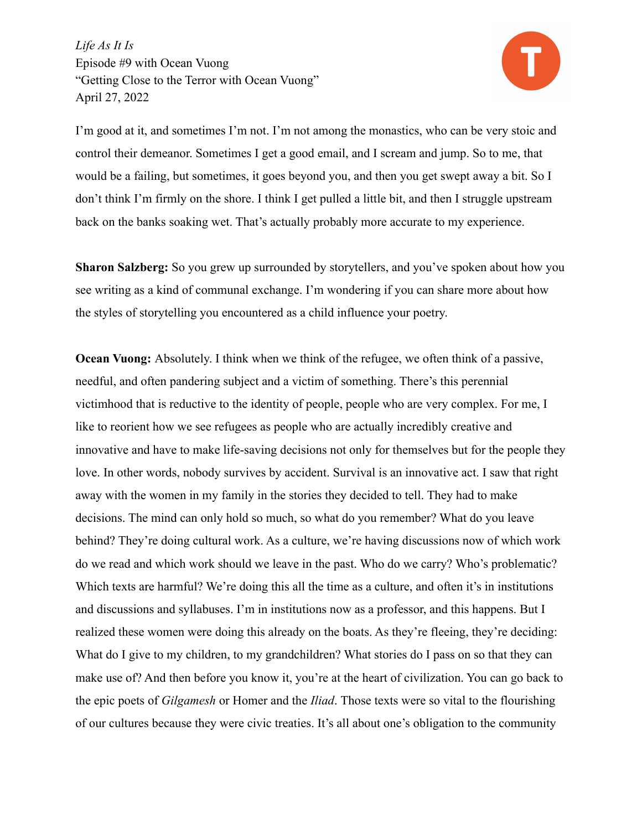

I'm good at it, and sometimes I'm not. I'm not among the monastics, who can be very stoic and control their demeanor. Sometimes I get a good email, and I scream and jump. So to me, that would be a failing, but sometimes, it goes beyond you, and then you get swept away a bit. So I don't think I'm firmly on the shore. I think I get pulled a little bit, and then I struggle upstream back on the banks soaking wet. That's actually probably more accurate to my experience.

**Sharon Salzberg:** So you grew up surrounded by storytellers, and you've spoken about how you see writing as a kind of communal exchange. I'm wondering if you can share more about how the styles of storytelling you encountered as a child influence your poetry.

**Ocean Vuong:** Absolutely. I think when we think of the refugee, we often think of a passive, needful, and often pandering subject and a victim of something. There's this perennial victimhood that is reductive to the identity of people, people who are very complex. For me, I like to reorient how we see refugees as people who are actually incredibly creative and innovative and have to make life-saving decisions not only for themselves but for the people they love. In other words, nobody survives by accident. Survival is an innovative act. I saw that right away with the women in my family in the stories they decided to tell. They had to make decisions. The mind can only hold so much, so what do you remember? What do you leave behind? They're doing cultural work. As a culture, we're having discussions now of which work do we read and which work should we leave in the past. Who do we carry? Who's problematic? Which texts are harmful? We're doing this all the time as a culture, and often it's in institutions and discussions and syllabuses. I'm in institutions now as a professor, and this happens. But I realized these women were doing this already on the boats. As they're fleeing, they're deciding: What do I give to my children, to my grandchildren? What stories do I pass on so that they can make use of? And then before you know it, you're at the heart of civilization. You can go back to the epic poets of *Gilgamesh* or Homer and the *Iliad*. Those texts were so vital to the flourishing of our cultures because they were civic treaties. It's all about one's obligation to the community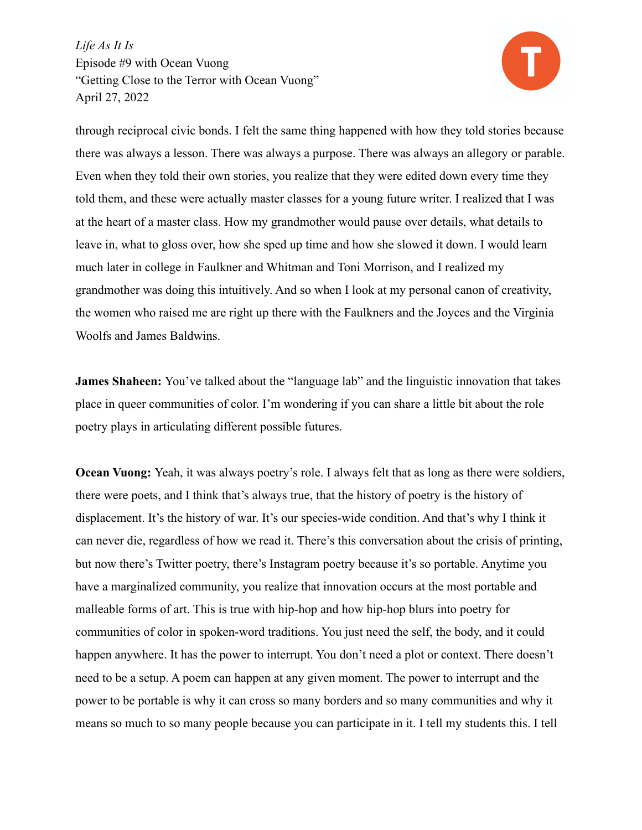

through reciprocal civic bonds. I felt the same thing happened with how they told stories because there was always a lesson. There was always a purpose. There was always an allegory or parable. Even when they told their own stories, you realize that they were edited down every time they told them, and these were actually master classes for a young future writer. I realized that I was at the heart of a master class. How my grandmother would pause over details, what details to leave in, what to gloss over, how she sped up time and how she slowed it down. I would learn much later in college in Faulkner and Whitman and Toni Morrison, and I realized my grandmother was doing this intuitively. And so when I look at my personal canon of creativity, the women who raised me are right up there with the Faulkners and the Joyces and the Virginia Woolfs and James Baldwins.

**James Shaheen:** You've talked about the "language lab" and the linguistic innovation that takes place in queer communities of color. I'm wondering if you can share a little bit about the role poetry plays in articulating different possible futures.

**Ocean Vuong:** Yeah, it was always poetry's role. I always felt that as long as there were soldiers, there were poets, and I think that's always true, that the history of poetry is the history of displacement. It's the history of war. It's our species-wide condition. And that's why I think it can never die, regardless of how we read it. There's this conversation about the crisis of printing, but now there's Twitter poetry, there's Instagram poetry because it's so portable. Anytime you have a marginalized community, you realize that innovation occurs at the most portable and malleable forms of art. This is true with hip-hop and how hip-hop blurs into poetry for communities of color in spoken-word traditions. You just need the self, the body, and it could happen anywhere. It has the power to interrupt. You don't need a plot or context. There doesn't need to be a setup. A poem can happen at any given moment. The power to interrupt and the power to be portable is why it can cross so many borders and so many communities and why it means so much to so many people because you can participate in it. I tell my students this. I tell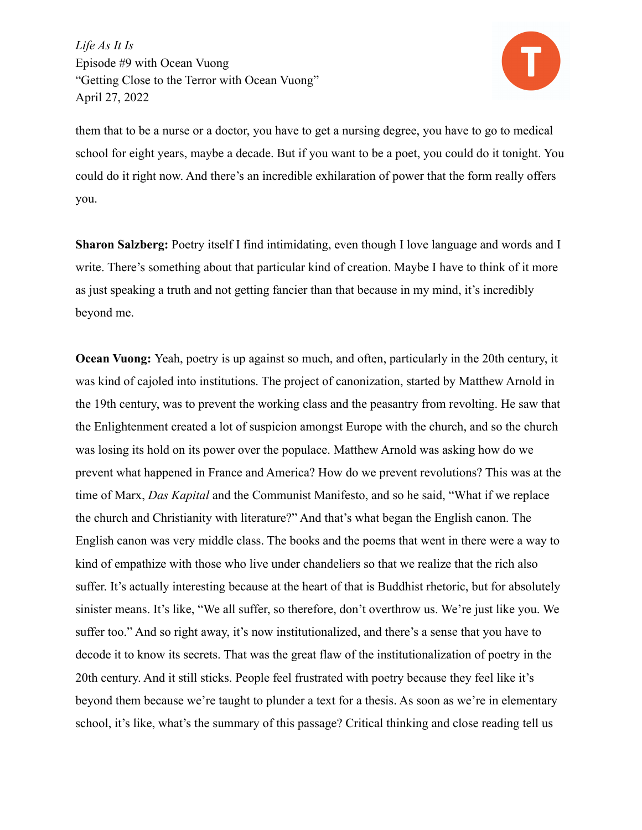

them that to be a nurse or a doctor, you have to get a nursing degree, you have to go to medical school for eight years, maybe a decade. But if you want to be a poet, you could do it tonight. You could do it right now. And there's an incredible exhilaration of power that the form really offers you.

**Sharon Salzberg:** Poetry itself I find intimidating, even though I love language and words and I write. There's something about that particular kind of creation. Maybe I have to think of it more as just speaking a truth and not getting fancier than that because in my mind, it's incredibly beyond me.

**Ocean Vuong:** Yeah, poetry is up against so much, and often, particularly in the 20th century, it was kind of cajoled into institutions. The project of canonization, started by Matthew Arnold in the 19th century, was to prevent the working class and the peasantry from revolting. He saw that the Enlightenment created a lot of suspicion amongst Europe with the church, and so the church was losing its hold on its power over the populace. Matthew Arnold was asking how do we prevent what happened in France and America? How do we prevent revolutions? This was at the time of Marx, *Das Kapital* and the Communist Manifesto, and so he said, "What if we replace the church and Christianity with literature?" And that's what began the English canon. The English canon was very middle class. The books and the poems that went in there were a way to kind of empathize with those who live under chandeliers so that we realize that the rich also suffer. It's actually interesting because at the heart of that is Buddhist rhetoric, but for absolutely sinister means. It's like, "We all suffer, so therefore, don't overthrow us. We're just like you. We suffer too." And so right away, it's now institutionalized, and there's a sense that you have to decode it to know its secrets. That was the great flaw of the institutionalization of poetry in the 20th century. And it still sticks. People feel frustrated with poetry because they feel like it's beyond them because we're taught to plunder a text for a thesis. As soon as we're in elementary school, it's like, what's the summary of this passage? Critical thinking and close reading tell us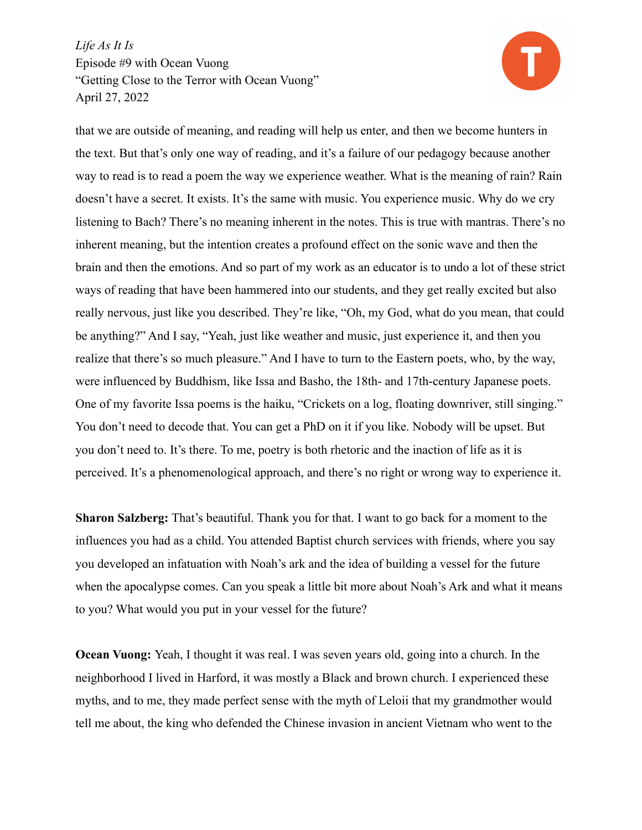

that we are outside of meaning, and reading will help us enter, and then we become hunters in the text. But that's only one way of reading, and it's a failure of our pedagogy because another way to read is to read a poem the way we experience weather. What is the meaning of rain? Rain doesn't have a secret. It exists. It's the same with music. You experience music. Why do we cry listening to Bach? There's no meaning inherent in the notes. This is true with mantras. There's no inherent meaning, but the intention creates a profound effect on the sonic wave and then the brain and then the emotions. And so part of my work as an educator is to undo a lot of these strict ways of reading that have been hammered into our students, and they get really excited but also really nervous, just like you described. They're like, "Oh, my God, what do you mean, that could be anything?" And I say, "Yeah, just like weather and music, just experience it, and then you realize that there's so much pleasure." And I have to turn to the Eastern poets, who, by the way, were influenced by Buddhism, like Issa and Basho, the 18th- and 17th-century Japanese poets. One of my favorite Issa poems is the haiku, "Crickets on a log, floating downriver, still singing." You don't need to decode that. You can get a PhD on it if you like. Nobody will be upset. But you don't need to. It's there. To me, poetry is both rhetoric and the inaction of life as it is perceived. It's a phenomenological approach, and there's no right or wrong way to experience it.

**Sharon Salzberg:** That's beautiful. Thank you for that. I want to go back for a moment to the influences you had as a child. You attended Baptist church services with friends, where you say you developed an infatuation with Noah's ark and the idea of building a vessel for the future when the apocalypse comes. Can you speak a little bit more about Noah's Ark and what it means to you? What would you put in your vessel for the future?

**Ocean Vuong:** Yeah, I thought it was real. I was seven years old, going into a church. In the neighborhood I lived in Harford, it was mostly a Black and brown church. I experienced these myths, and to me, they made perfect sense with the myth of Leloii that my grandmother would tell me about, the king who defended the Chinese invasion in ancient Vietnam who went to the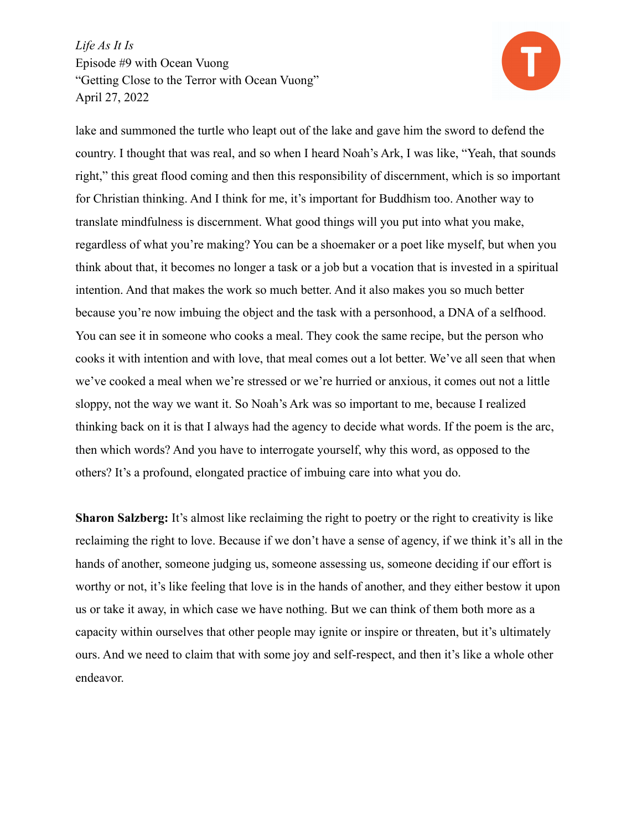

lake and summoned the turtle who leapt out of the lake and gave him the sword to defend the country. I thought that was real, and so when I heard Noah's Ark, I was like, "Yeah, that sounds right," this great flood coming and then this responsibility of discernment, which is so important for Christian thinking. And I think for me, it's important for Buddhism too. Another way to translate mindfulness is discernment. What good things will you put into what you make, regardless of what you're making? You can be a shoemaker or a poet like myself, but when you think about that, it becomes no longer a task or a job but a vocation that is invested in a spiritual intention. And that makes the work so much better. And it also makes you so much better because you're now imbuing the object and the task with a personhood, a DNA of a selfhood. You can see it in someone who cooks a meal. They cook the same recipe, but the person who cooks it with intention and with love, that meal comes out a lot better. We've all seen that when we've cooked a meal when we're stressed or we're hurried or anxious, it comes out not a little sloppy, not the way we want it. So Noah's Ark was so important to me, because I realized thinking back on it is that I always had the agency to decide what words. If the poem is the arc, then which words? And you have to interrogate yourself, why this word, as opposed to the others? It's a profound, elongated practice of imbuing care into what you do.

**Sharon Salzberg:** It's almost like reclaiming the right to poetry or the right to creativity is like reclaiming the right to love. Because if we don't have a sense of agency, if we think it's all in the hands of another, someone judging us, someone assessing us, someone deciding if our effort is worthy or not, it's like feeling that love is in the hands of another, and they either bestow it upon us or take it away, in which case we have nothing. But we can think of them both more as a capacity within ourselves that other people may ignite or inspire or threaten, but it's ultimately ours. And we need to claim that with some joy and self-respect, and then it's like a whole other endeavor.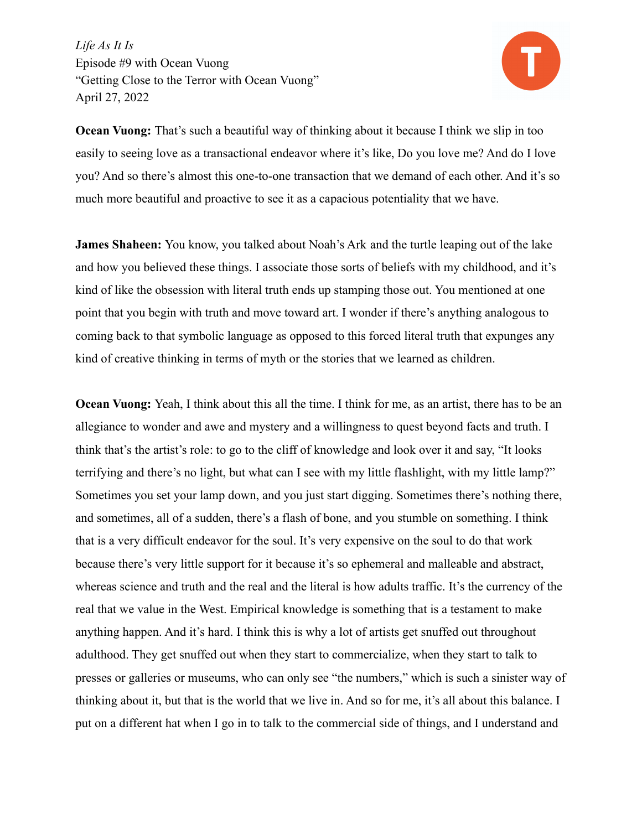

**Ocean Vuong:** That's such a beautiful way of thinking about it because I think we slip in too easily to seeing love as a transactional endeavor where it's like, Do you love me? And do I love you? And so there's almost this one-to-one transaction that we demand of each other. And it's so much more beautiful and proactive to see it as a capacious potentiality that we have.

**James Shaheen:** You know, you talked about Noah's Ark and the turtle leaping out of the lake and how you believed these things. I associate those sorts of beliefs with my childhood, and it's kind of like the obsession with literal truth ends up stamping those out. You mentioned at one point that you begin with truth and move toward art. I wonder if there's anything analogous to coming back to that symbolic language as opposed to this forced literal truth that expunges any kind of creative thinking in terms of myth or the stories that we learned as children.

**Ocean Vuong:** Yeah, I think about this all the time. I think for me, as an artist, there has to be an allegiance to wonder and awe and mystery and a willingness to quest beyond facts and truth. I think that's the artist's role: to go to the cliff of knowledge and look over it and say, "It looks terrifying and there's no light, but what can I see with my little flashlight, with my little lamp?" Sometimes you set your lamp down, and you just start digging. Sometimes there's nothing there, and sometimes, all of a sudden, there's a flash of bone, and you stumble on something. I think that is a very difficult endeavor for the soul. It's very expensive on the soul to do that work because there's very little support for it because it's so ephemeral and malleable and abstract, whereas science and truth and the real and the literal is how adults traffic. It's the currency of the real that we value in the West. Empirical knowledge is something that is a testament to make anything happen. And it's hard. I think this is why a lot of artists get snuffed out throughout adulthood. They get snuffed out when they start to commercialize, when they start to talk to presses or galleries or museums, who can only see "the numbers," which is such a sinister way of thinking about it, but that is the world that we live in. And so for me, it's all about this balance. I put on a different hat when I go in to talk to the commercial side of things, and I understand and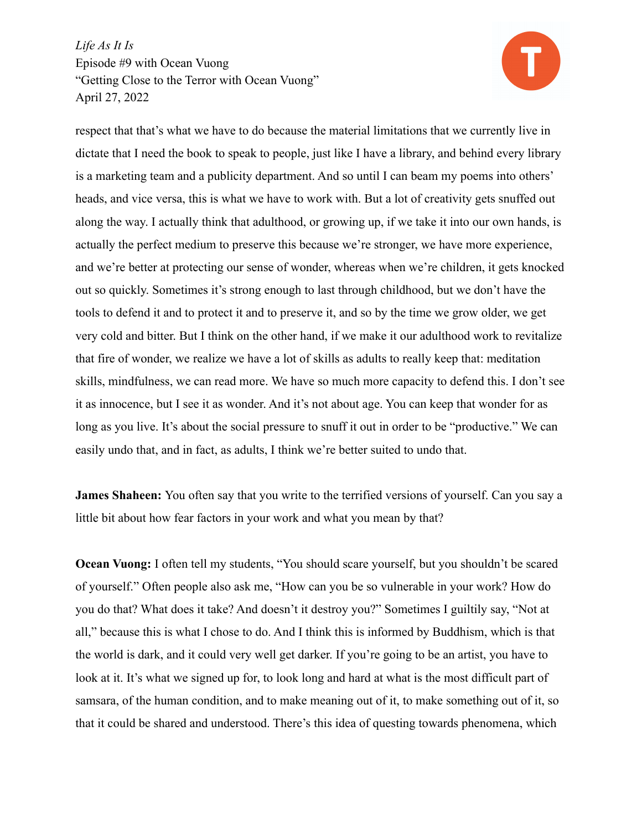

respect that that's what we have to do because the material limitations that we currently live in dictate that I need the book to speak to people, just like I have a library, and behind every library is a marketing team and a publicity department. And so until I can beam my poems into others' heads, and vice versa, this is what we have to work with. But a lot of creativity gets snuffed out along the way. I actually think that adulthood, or growing up, if we take it into our own hands, is actually the perfect medium to preserve this because we're stronger, we have more experience, and we're better at protecting our sense of wonder, whereas when we're children, it gets knocked out so quickly. Sometimes it's strong enough to last through childhood, but we don't have the tools to defend it and to protect it and to preserve it, and so by the time we grow older, we get very cold and bitter. But I think on the other hand, if we make it our adulthood work to revitalize that fire of wonder, we realize we have a lot of skills as adults to really keep that: meditation skills, mindfulness, we can read more. We have so much more capacity to defend this. I don't see it as innocence, but I see it as wonder. And it's not about age. You can keep that wonder for as long as you live. It's about the social pressure to snuff it out in order to be "productive." We can easily undo that, and in fact, as adults, I think we're better suited to undo that.

**James Shaheen:** You often say that you write to the terrified versions of yourself. Can you say a little bit about how fear factors in your work and what you mean by that?

**Ocean Vuong:** I often tell my students, "You should scare yourself, but you shouldn't be scared of yourself." Often people also ask me, "How can you be so vulnerable in your work? How do you do that? What does it take? And doesn't it destroy you?" Sometimes I guiltily say, "Not at all," because this is what I chose to do. And I think this is informed by Buddhism, which is that the world is dark, and it could very well get darker. If you're going to be an artist, you have to look at it. It's what we signed up for, to look long and hard at what is the most difficult part of samsara, of the human condition, and to make meaning out of it, to make something out of it, so that it could be shared and understood. There's this idea of questing towards phenomena, which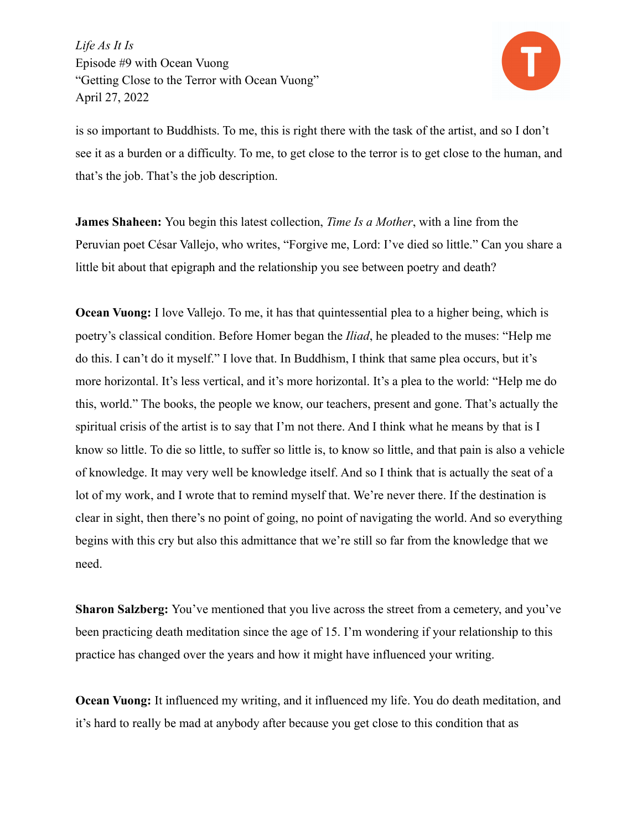

is so important to Buddhists. To me, this is right there with the task of the artist, and so I don't see it as a burden or a difficulty. To me, to get close to the terror is to get close to the human, and that's the job. That's the job description.

**James Shaheen:** You begin this latest collection, *Time Is a Mother*, with a line from the Peruvian poet César Vallejo, who writes, "Forgive me, Lord: I've died so little." Can you share a little bit about that epigraph and the relationship you see between poetry and death?

**Ocean Vuong:** I love Vallejo. To me, it has that quintessential plea to a higher being, which is poetry's classical condition. Before Homer began the *Iliad*, he pleaded to the muses: "Help me do this. I can't do it myself." I love that. In Buddhism, I think that same plea occurs, but it's more horizontal. It's less vertical, and it's more horizontal. It's a plea to the world: "Help me do this, world." The books, the people we know, our teachers, present and gone. That's actually the spiritual crisis of the artist is to say that I'm not there. And I think what he means by that is I know so little. To die so little, to suffer so little is, to know so little, and that pain is also a vehicle of knowledge. It may very well be knowledge itself. And so I think that is actually the seat of a lot of my work, and I wrote that to remind myself that. We're never there. If the destination is clear in sight, then there's no point of going, no point of navigating the world. And so everything begins with this cry but also this admittance that we're still so far from the knowledge that we need.

**Sharon Salzberg:** You've mentioned that you live across the street from a cemetery, and you've been practicing death meditation since the age of 15. I'm wondering if your relationship to this practice has changed over the years and how it might have influenced your writing.

**Ocean Vuong:** It influenced my writing, and it influenced my life. You do death meditation, and it's hard to really be mad at anybody after because you get close to this condition that as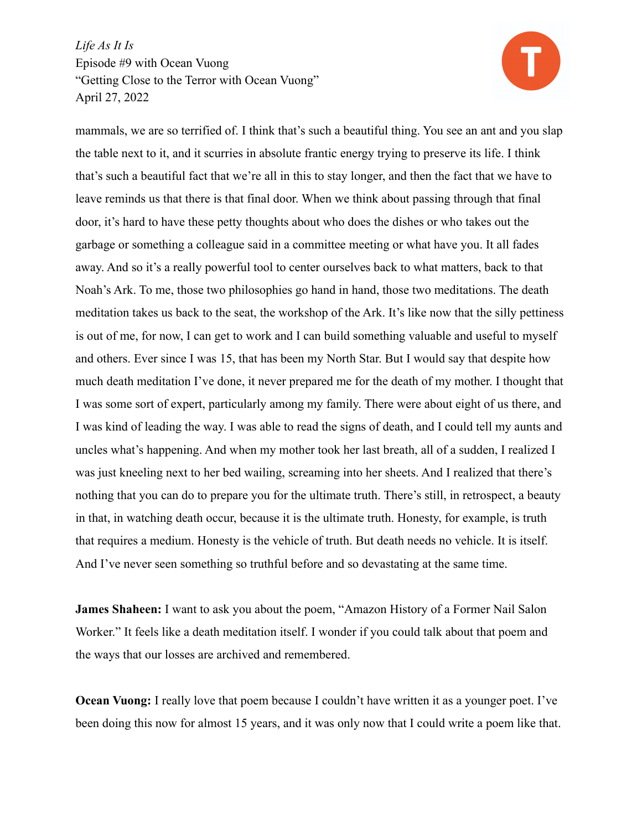

mammals, we are so terrified of. I think that's such a beautiful thing. You see an ant and you slap the table next to it, and it scurries in absolute frantic energy trying to preserve its life. I think that's such a beautiful fact that we're all in this to stay longer, and then the fact that we have to leave reminds us that there is that final door. When we think about passing through that final door, it's hard to have these petty thoughts about who does the dishes or who takes out the garbage or something a colleague said in a committee meeting or what have you. It all fades away. And so it's a really powerful tool to center ourselves back to what matters, back to that Noah's Ark. To me, those two philosophies go hand in hand, those two meditations. The death meditation takes us back to the seat, the workshop of the Ark. It's like now that the silly pettiness is out of me, for now, I can get to work and I can build something valuable and useful to myself and others. Ever since I was 15, that has been my North Star. But I would say that despite how much death meditation I've done, it never prepared me for the death of my mother. I thought that I was some sort of expert, particularly among my family. There were about eight of us there, and I was kind of leading the way. I was able to read the signs of death, and I could tell my aunts and uncles what's happening. And when my mother took her last breath, all of a sudden, I realized I was just kneeling next to her bed wailing, screaming into her sheets. And I realized that there's nothing that you can do to prepare you for the ultimate truth. There's still, in retrospect, a beauty in that, in watching death occur, because it is the ultimate truth. Honesty, for example, is truth that requires a medium. Honesty is the vehicle of truth. But death needs no vehicle. It is itself. And I've never seen something so truthful before and so devastating at the same time.

**James Shaheen:** I want to ask you about the poem, "Amazon History of a Former Nail Salon Worker." It feels like a death meditation itself. I wonder if you could talk about that poem and the ways that our losses are archived and remembered.

**Ocean Vuong:** I really love that poem because I couldn't have written it as a younger poet. I've been doing this now for almost 15 years, and it was only now that I could write a poem like that.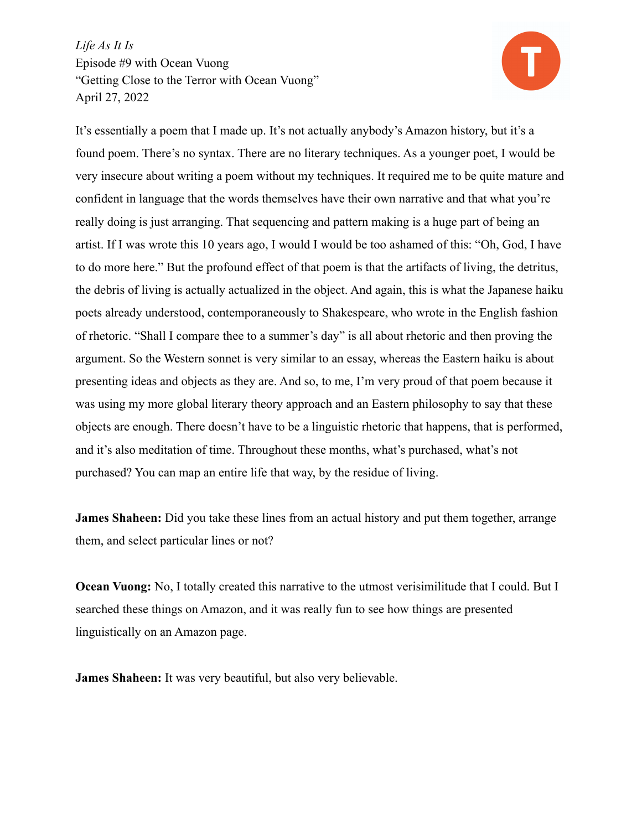

It's essentially a poem that I made up. It's not actually anybody's Amazon history, but it's a found poem. There's no syntax. There are no literary techniques. As a younger poet, I would be very insecure about writing a poem without my techniques. It required me to be quite mature and confident in language that the words themselves have their own narrative and that what you're really doing is just arranging. That sequencing and pattern making is a huge part of being an artist. If I was wrote this 10 years ago, I would I would be too ashamed of this: "Oh, God, I have to do more here." But the profound effect of that poem is that the artifacts of living, the detritus, the debris of living is actually actualized in the object. And again, this is what the Japanese haiku poets already understood, contemporaneously to Shakespeare, who wrote in the English fashion of rhetoric. "Shall I compare thee to a summer's day" is all about rhetoric and then proving the argument. So the Western sonnet is very similar to an essay, whereas the Eastern haiku is about presenting ideas and objects as they are. And so, to me, I'm very proud of that poem because it was using my more global literary theory approach and an Eastern philosophy to say that these objects are enough. There doesn't have to be a linguistic rhetoric that happens, that is performed, and it's also meditation of time. Throughout these months, what's purchased, what's not purchased? You can map an entire life that way, by the residue of living.

**James Shaheen:** Did you take these lines from an actual history and put them together, arrange them, and select particular lines or not?

**Ocean Vuong:** No, I totally created this narrative to the utmost verisimilitude that I could. But I searched these things on Amazon, and it was really fun to see how things are presented linguistically on an Amazon page.

**James Shaheen:** It was very beautiful, but also very believable.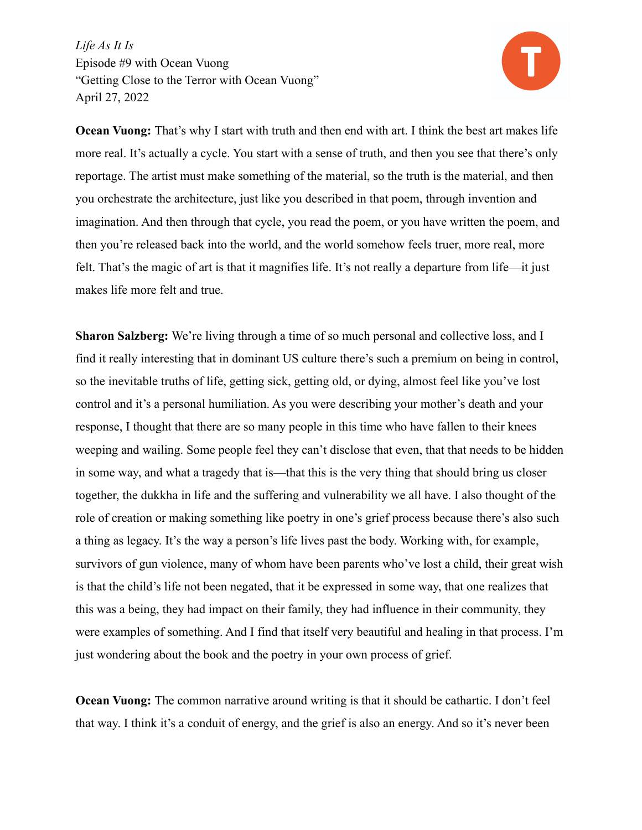

**Ocean Vuong:** That's why I start with truth and then end with art. I think the best art makes life more real. It's actually a cycle. You start with a sense of truth, and then you see that there's only reportage. The artist must make something of the material, so the truth is the material, and then you orchestrate the architecture, just like you described in that poem, through invention and imagination. And then through that cycle, you read the poem, or you have written the poem, and then you're released back into the world, and the world somehow feels truer, more real, more felt. That's the magic of art is that it magnifies life. It's not really a departure from life—it just makes life more felt and true.

**Sharon Salzberg:** We're living through a time of so much personal and collective loss, and I find it really interesting that in dominant US culture there's such a premium on being in control, so the inevitable truths of life, getting sick, getting old, or dying, almost feel like you've lost control and it's a personal humiliation. As you were describing your mother's death and your response, I thought that there are so many people in this time who have fallen to their knees weeping and wailing. Some people feel they can't disclose that even, that that needs to be hidden in some way, and what a tragedy that is—that this is the very thing that should bring us closer together, the dukkha in life and the suffering and vulnerability we all have. I also thought of the role of creation or making something like poetry in one's grief process because there's also such a thing as legacy. It's the way a person's life lives past the body. Working with, for example, survivors of gun violence, many of whom have been parents who've lost a child, their great wish is that the child's life not been negated, that it be expressed in some way, that one realizes that this was a being, they had impact on their family, they had influence in their community, they were examples of something. And I find that itself very beautiful and healing in that process. I'm just wondering about the book and the poetry in your own process of grief.

**Ocean Vuong:** The common narrative around writing is that it should be cathartic. I don't feel that way. I think it's a conduit of energy, and the grief is also an energy. And so it's never been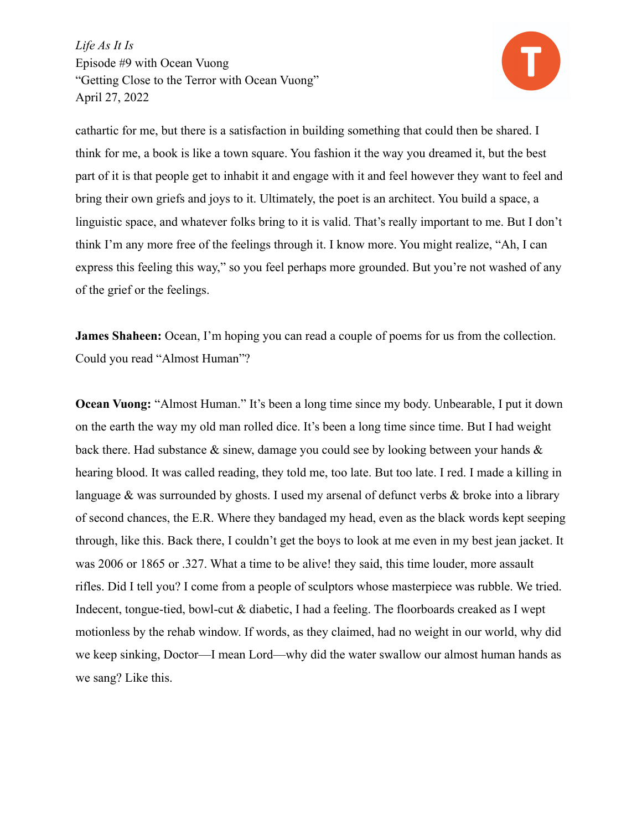

cathartic for me, but there is a satisfaction in building something that could then be shared. I think for me, a book is like a town square. You fashion it the way you dreamed it, but the best part of it is that people get to inhabit it and engage with it and feel however they want to feel and bring their own griefs and joys to it. Ultimately, the poet is an architect. You build a space, a linguistic space, and whatever folks bring to it is valid. That's really important to me. But I don't think I'm any more free of the feelings through it. I know more. You might realize, "Ah, I can express this feeling this way," so you feel perhaps more grounded. But you're not washed of any of the grief or the feelings.

**James Shaheen:** Ocean, I'm hoping you can read a couple of poems for us from the collection. Could you read "Almost Human"?

**Ocean Vuong:** "Almost Human." It's been a long time since my body. Unbearable, I put it down on the earth the way my old man rolled dice. It's been a long time since time. But I had weight back there. Had substance  $\&$  sinew, damage you could see by looking between your hands  $\&$ hearing blood. It was called reading, they told me, too late. But too late. I red. I made a killing in language  $\&$  was surrounded by ghosts. I used my arsenal of defunct verbs  $\&$  broke into a library of second chances, the E.R. Where they bandaged my head, even as the black words kept seeping through, like this. Back there, I couldn't get the boys to look at me even in my best jean jacket. It was 2006 or 1865 or .327. What a time to be alive! they said, this time louder, more assault rifles. Did I tell you? I come from a people of sculptors whose masterpiece was rubble. We tried. Indecent, tongue-tied, bowl-cut & diabetic, I had a feeling. The floorboards creaked as I wept motionless by the rehab window. If words, as they claimed, had no weight in our world, why did we keep sinking, Doctor—I mean Lord—why did the water swallow our almost human hands as we sang? Like this.